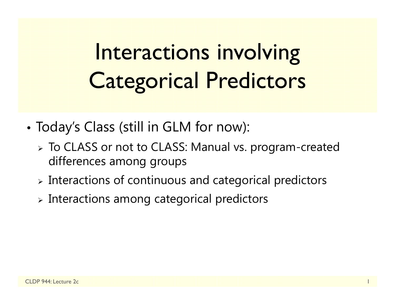# Interactions involving Categorical Predictors

- • Today's Class (still in GLM for now):
	- To CLASS or not to CLASS: Manual vs. program-created differences among groups
	- $\triangleright$  Interactions of continuous and categorical predictors
	- $\triangleright$  Interactions among categorical predictors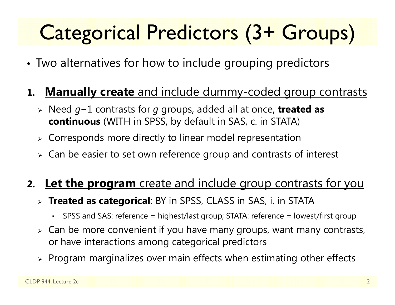## Categorical Predictors (3+ Groups)

- •Two alternatives for how to include grouping predictors
- **1. Manually create** and include dummy-coded group contrasts
	- Need *g* −1 contrasts for *g* groups, added all at once, **treated as continuous** (WITH in SPSS, by default in SAS, c. in STATA)
	- $\triangleright$  Corresponds more directly to linear model representation
	- $\triangleright\;$  Can be easier to set own reference group and contrasts of interest

#### **2. Let the program** create and include group contrasts for you

- **Treated as categorical**: BY in SPSS, CLASS in SAS, i. in STATA
	- SPSS and SAS: reference = highest/last group; STATA: reference = lowest/first group
- $\triangleright$  Can be more convenient if you have many groups, want many contrasts, or have interactions among categorical predictors
- $\triangleright$  Program marginalizes over main effects when estimating other effects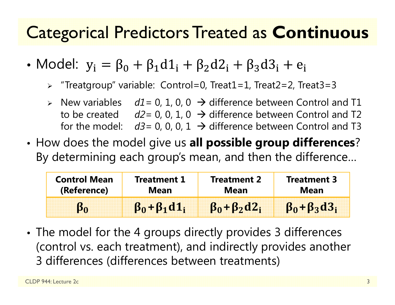### Categorical Predictors Treated as **Continuous**

- Model:  $y_i = \beta_0 + \beta_1 d1_i + \beta_2 d2_i + \beta_3 d3_i + e_i$ 
	- "Treatgroup" variable: Control=0, Treat1=1, Treat2=2, Treat3=3
	- $\triangleright$  New variables  $dl = 0, 1, 0, 0 \rightarrow$  difference between Control and T1 to be created  $d2=0$ , 0, 1, 0  $\rightarrow$  difference between Control and T2 for the model:  $d3=0$ , 0, 0, 1  $\rightarrow$  difference between Control and T3
- • How does the model give us **all possible group differences**? By determining each group's mean, and then the difference…

| <b>Control Mean</b> | Treatment 1             | <b>Treatment 2</b>       | <b>Treatment 3</b>       |
|---------------------|-------------------------|--------------------------|--------------------------|
| (Reference)         | Mean                    | <b>Mean</b>              | <b>Mean</b>              |
|                     | $\beta_0 + \beta_1 d_1$ | $\beta_0 + \beta_2 d2_i$ | $\beta_0 + \beta_3 d3_i$ |

• The model for the 4 groups directly provides 3 differences (control vs. each treatment), and indirectly provides another 3 differences (differences between treatments)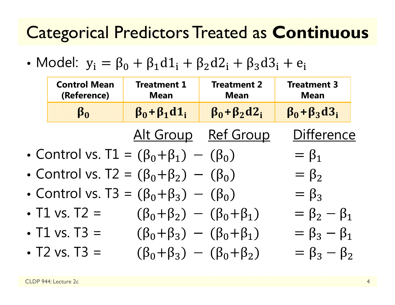#### Categorical Predictors Treated as **Continuous**

• Model:  $y_i = \beta_0 + \beta_1 d1_i + \beta_2 d2_i + \beta_3 d3_i + e_i$ 

| <b>Control Mean</b><br>(Reference) | <b>Treatment 1</b><br><b>Mean</b>                    | <b>Treatment 2</b><br><b>Mean</b> | <b>Treatment 3</b><br><b>Mean</b> |
|------------------------------------|------------------------------------------------------|-----------------------------------|-----------------------------------|
| $\beta_0$                          | $\beta_0 + \beta_1 d_1$                              | $\beta_0 + \beta_2 d2_i$          | $\beta_0 + \beta_3 d3_i$          |
|                                    |                                                      | Alt Group Ref Group               | <b>Difference</b>                 |
|                                    | • Control vs. $T1 = (\beta_0 + \beta_1) - (\beta_0)$ |                                   | $= \beta_1$                       |
|                                    | • Control vs. $T2 = (\beta_0 + \beta_2) - (\beta_0)$ |                                   | $=\beta_2$                        |
|                                    | • Control vs. T3 = $(\beta_0 + \beta_3) - (\beta_0)$ |                                   | $=\beta_3$                        |
| • $T1 vs. T2 =$                    | $(\beta_0 + \beta_2) - (\beta_0 + \beta_1)$          |                                   | $= \beta_2 - \beta_1$             |
| • $T1$ vs. $T3 =$                  | $(\beta_0 + \beta_3) - (\beta_0 + \beta_1)$          |                                   | $= \beta_3 - \beta_1$             |
| • T2 vs. T3 =                      | $(\beta_0 + \beta_3) - (\beta_0 + \beta_2)$          |                                   | $= \beta_3 - \beta_2$             |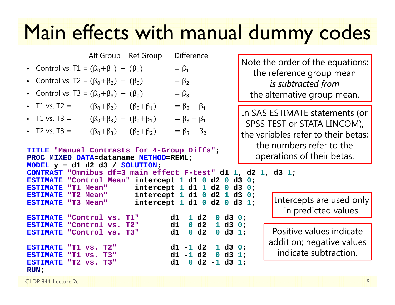## Main effects with manual dummy codes

| Note the order of the equations:<br>• Control vs. T1 = $(\beta_0 + \beta_1) - (\beta_0)$<br>$= \beta_1$<br>the reference group mean                                                                                                                                                                                                                                                                                                                                                                                                                                                                                                                                                                                                                     |  |  |  |  |  |
|---------------------------------------------------------------------------------------------------------------------------------------------------------------------------------------------------------------------------------------------------------------------------------------------------------------------------------------------------------------------------------------------------------------------------------------------------------------------------------------------------------------------------------------------------------------------------------------------------------------------------------------------------------------------------------------------------------------------------------------------------------|--|--|--|--|--|
|                                                                                                                                                                                                                                                                                                                                                                                                                                                                                                                                                                                                                                                                                                                                                         |  |  |  |  |  |
| • Control vs. T2 = $(\beta_0 + \beta_2) - (\beta_0)$<br>$= \beta_2$<br>is subtracted from                                                                                                                                                                                                                                                                                                                                                                                                                                                                                                                                                                                                                                                               |  |  |  |  |  |
| • Control vs. T3 = $(\beta_0 + \beta_3) - (\beta_0)$<br>$= \beta_3$<br>the alternative group mean.                                                                                                                                                                                                                                                                                                                                                                                                                                                                                                                                                                                                                                                      |  |  |  |  |  |
| • T1 vs. T2 =<br>$= \beta_2 - \beta_1$<br>$(\beta_0 + \beta_2) - (\beta_0 + \beta_1)$                                                                                                                                                                                                                                                                                                                                                                                                                                                                                                                                                                                                                                                                   |  |  |  |  |  |
| In SAS ESTIMATE statements (or<br>$= \beta_3 - \beta_1$<br>• T1 vs. T3 =<br>$(\beta_0 + \beta_3) - (\beta_0 + \beta_1)$<br>SPSS TEST or STATA LINCOM),                                                                                                                                                                                                                                                                                                                                                                                                                                                                                                                                                                                                  |  |  |  |  |  |
| $= \beta_3 - \beta_2$<br>• T2 vs. T3 =<br>$(\beta_0 + \beta_3) - (\beta_0 + \beta_2)$<br>the variables refer to their betas;                                                                                                                                                                                                                                                                                                                                                                                                                                                                                                                                                                                                                            |  |  |  |  |  |
| the numbers refer to the<br>TITLE "Manual Contrasts for 4-Group Diffs";<br>operations of their betas.<br>PROC MIXED DATA=dataname METHOD=REML;<br>MODEL $y = d1 d2 d3 / SOLUTION;$<br>CONTRAST "Omnibus df=3 main effect F-test" d1 1, d2 1, d3 1;<br>ESTIMATE "Control Mean" intercept 1 d1 0 d2 0 d3 0;<br>intercept $1$ d $1$ $1$ d $2$ $0$ d $3$ $0$ ;<br>"T1 Mean"<br><b>ESTIMATE</b><br>intercept $1$ d $1$ 0 d $2$ $1$ d $3$ 0;<br><b>ESTIMATE</b><br>"T2 Mean"<br>Intercepts are used only<br>intercept $1$ d $1$ 0 d $2$ 0 d $3$ $1$ ;<br>"T3 Mean"<br><b>ESTIMATE</b><br>in predicted values.<br>1 d2<br><b>ESTIMATE</b><br>0 d3 0;<br>"Control vs. T1"<br>d1<br>d2<br>d1<br>1 d3 0;<br>$\mathbf 0$<br><b>ESTIMATE</b><br>"Control vs.<br>T2" |  |  |  |  |  |
| Positive values indicate<br>$\mathbf{0}$<br>d2<br>$0$ d3 1;<br>d1<br>"Control vs. T3"<br><b>ESTIMATE</b><br>addition; negative values<br>$d1 - 1 d2$<br>1 d3 0;<br><b>ESTIMATE</b><br>"T1 vs.<br>T2"<br>indicate subtraction.<br>$d1 - 1 d2$<br>$0$ d3 1;<br><b>ESTIMATE</b><br>"T1 vs.<br><b>T3"</b>                                                                                                                                                                                                                                                                                                                                                                                                                                                   |  |  |  |  |  |
| $0$ d2 -1 d3 1;<br>d1<br><b>ESTIMATE</b><br>"T2 vS.<br>T3"<br>RUN:                                                                                                                                                                                                                                                                                                                                                                                                                                                                                                                                                                                                                                                                                      |  |  |  |  |  |

CLDP 944: Lecture 2c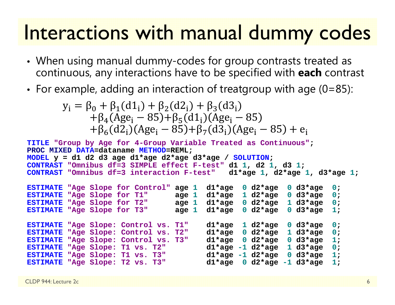## Interactions with manual dummy codes

- When using manual dummy-codes for group contrasts treated as continuous, any interactions have to be specified with **each** contrast
- For example, adding an interaction of treatgroup with age (0=85):

$$
y_i = \beta_0 + \beta_1(d1_i) + \beta_2(d2_i) + \beta_3(d3_i)
$$
  
+  $\beta_4(Age_i - 85) + \beta_5(d1_i)(Age_i - 85)$   
+  $\beta_6(d2_i)(Age_i - 85) + \beta_7(d3_i)(Age_i - 85) + e_i$ 

```
TITLE "Group by Age for 4-Group Variable Treated as Continuous";
PROC MIXED DATA=dataname METHOD=REML;
MODEL y = d1 d2 d3 age d1*age d2*age d3*age / SOLUTION;
CONTRAST "Omnibus df=3 SIMPLE effect F-test" d1 
1, d2 
1, d3 
1;
CONTRAST "Omnibus df=3 interaction F-test" d1*age 
                                                   1, d2*age 
1, d3*age 
1;
ESTIMATE "Age Slope for Control" age 
1 d1*age 
                                               0 d2*age 
0 d3*age 
                                                                  0;
ESTIMATE "Age Slope for T1" age 
                                    1 d1*age 
                                               1 d2*age 
0 d3*age 
                                                                  0;
ESTIMATE "Age Slope for T2" age 
                                    1 d1*age 
0 d2*age 
1 d3*age 
0;
ESTIMATE "Age Slope for T3" age 
                                    1 d1*age 
                                               0 d2*age 
0 d3*age 
1;
ESTIMATE "Age Slope: Control vs. T1" d1*age 
                                               1 d2*age 
0 d3*age 
0;
ESTIMATE "Age Slope: Control vs. T2" d1*age 
                                               0 d2*age 
1 d3*age 
                                                                  0;
ESTIMATE "Age Slope: Control vs. T3" d1*age 
                                               0 d2*age 
0 d3*age 
                                                                  1;
ESTIMATE "Age Slope: T1 vs. T2" d1*age -1 d2*age 
                                                         1 d3*age 
                                                                  0; 
ESTIMATE "Age Slope: T1 vs. T3" d1*age -1 d2*age 
                                                         0 d3*age 
                                                                  1;
ESTIMATE "Age Slope: T2 vs. T3" d1*age 
                                               0 d2*age -1 d3*age 
                                                                  1;
```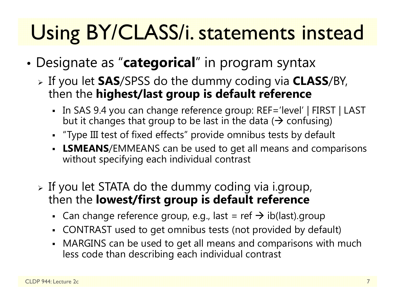## Using BY/CLASS/i. statements instead

- • Designate as "**categorical**" in program syntax
	- If you let **SAS**/SPSS do the dummy coding via **CLASS**/BY, then the **highest/last group is default reference**
		- In SAS 9.4 you can change reference group: REF='level' | FIRST | LAST but it changes that group to be last in the data ( $\bm{\rightarrow}$  confusing)
		- "Type III test of fixed effects" provide omnibus tests by default
		- **LSMEANS**/EMMEANS can be used to get all means and comparisons without specifying each individual contrast
	- $\triangleright$  If you let STATA do the dummy coding via i.group, then the **lowest/first group is default reference** 
		- - Can change reference group, e.g., last = ref  $\rightarrow$  ib(last).group
		- CONTRAST used to get omnibus tests (not provided by default)
		- MARGINS can be used to get all means and comparisons with much less code than describing each individual contrast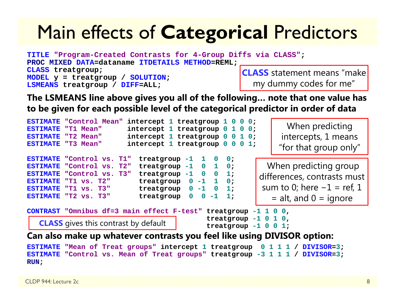## Main effects of **Categorical** Predictors

**TITLE "Program-Created Contrasts for 4-Group Diffs via CLASS"; PROC MIXED DATA=dataname ITDETAILS METHOD=REML; CLASS treatgroup; MODEL y = treatgroup / SOLUTION; LSMEANS treatgroup / DIFF=ALL; CLASS** statement means "make my dummy codes for me"

**The LSMEANS line above gives you all of the following… note that one value has to be given for each possible level of the categorical predictor in order of data**

```
ESTIMATE "Control Mean" intercept 1 treatgroup 1 0 0 0;
ESTIMATE "T1 Mean" intercept 1 treatgroup 0 1 0 0;
ESTIMATE "T2 Mean"
                           "T2 Mean" intercept 1 treatgroup 0 0 1 0;
ESTIMATEintercept 1 treatgroup 0 0 0 1;
ESTIMATE "Control vs. T1" treatgroup -1 1 0 0; 
ESTIMATE "Control vs. T2"
                             "Control vs. T2" treatgroup -1 0 1 0; 
ESTIMATE "Control vs. T3"
                             "Control vs. T3" treatgroup -1 0 0 1;
ESTIMATE "T1 vs. T2"
                             "T1 vs. T2" treatgroup 0 -1 1 0; 
ESTIMATE "T1 vs. T3"
                             "T1 vs. T3" treatgroup 0 -1 0 1; 
ESTIMATE "T2 vs. T3"
                            treatgroup 0 0 -1 1;
CONTRAST "Omnibus df=3 main effect F-test" treatgroup -1 1 0 0, 
                                              treatgroup -1 0 1 0, 
                                              treatgroup -1 0 0 1;
Can also make up whatever contrasts you feel like using DIVISOR option:
ESTIMATE "Mean of Treat groups" intercept 1 treatgroup 0 1 1 1 / DIVISOR=3;
ESTIMATE "Control vs. Mean of Treat groups" treatgroup -3 1 1 1 / DIVISOR=3;
                                                                   When predicting 
                                                                 intercepts, 1 means 
                                                                 "for that group only"
                                                              When predicting group 
                                                            differences, contrasts must 
                                                            sum to 0; here -1 = ref, 1
                                                               = alt, and 0 = ignore
   CLASS gives this contrast by default
```
**RUN;**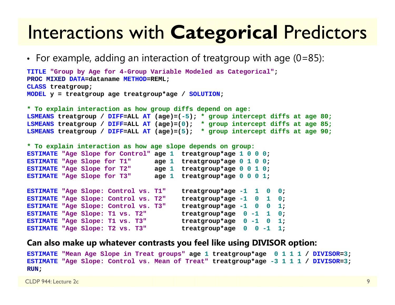#### Interactions with **Categorical** Predictors

• For example, adding an interaction of treatgroup with age (0=85):

```
TITLE "Group by Age for 4-Group Variable Modeled as Categorical";
PROC MIXED DATA=dataname METHOD=REML;
CLASS treatgroup;
MODEL y = treatgroup age treatgroup*age / SOLUTION;
```
**\* To explain interaction as how group diffs depend on age:**

```
LSMEANS treatgroup / DIFF=ALL AT (age)=(-5); * group intercept diffs at age 80;
LSMEANS treatgroup / DIFF=ALL AT (age)=(0); * group intercept diffs at age 85;
LSMEANS treatgroup / DIFF=ALL AT (age)=(5); * group intercept diffs at age 90;
```
**\* To explain interaction as how age slope depends on group:**

```
ESTIMATE "Age Slope for Control" age 1 treatgroup*age 1 0 0 0;
ESTIMATE "Age Slope for T1" age 1 treatgroup*age 0 1 0 0;
ESTIMATE "Age Slope for T2" age 1 treatgroup*age 0 0 1 0;
ESTIMATE "Age Slope for T3" age 1 treatgroup*age 0 0 0 1;
```

```
ESTIMATE "Age Slope: Control vs. T1" treatgroup*age -1 1 0 0;
ESTIMATE "Age Slope: Control vs. T2" treatgroup*age -1 0 1 0;
ESTIMATE "Age Slope: Control vs. T3" treatgroup*age -1 0 0 1;
ESTIMATE "Age Slope: T1 vs. T2"
                                    treatgroup*age 0 -1 1 0;ESTIMATE "Age Slope: T1 vs. T3"
                                    treatgroup*age 0 -1 0 1;
ESTIMATE "Age Slope: T2 vs. T3" treatgroup*age 0 0 -1 1;
```
#### **Can also make up whatever contrasts you feel like using DIVISOR option:**

```
ESTIMATE "Mean Age Slope in Treat groups" age 1 treatgroup*age 0 1 1 1 / DIVISOR=3;
ESTIMATE "Age Slope: Control vs. Mean of Treat" treatgroup*age -3 1 1 1 / DIVISOR=3;
RUN;
```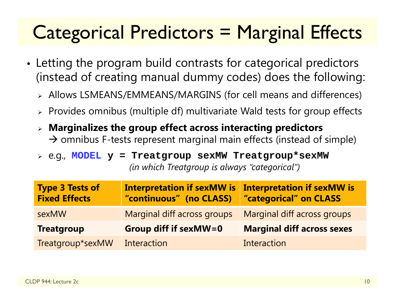## Categorical Predictors = Marginal Effects

- • Letting the program build contrasts for categorical predictors (instead of creating manual dummy codes) does the following:
	- Allows LSMEANS/EMMEANS/MARGINS (for cell means and differences)
	- $\triangleright$  Provides omnibus (multiple df) multivariate Wald tests for group effects
	- **Marginalizes the group effect across interacting predictors**   $\rightarrow$  omnibus F-tests represent marginal main effects (instead of simple)

 e.g., **MODEL y = Treatgroup sexMW Treatgroup\*sexMW** *(in which Treatgroup is always "categorical")*

| <b>Type 3 Tests of</b><br><b>Fixed Effects</b> | <b>Interpretation if sexMW is</b><br>"continuous" (no CLASS) | <b>Interpretation if sexMW is</b><br>"categorical" on CLASS |
|------------------------------------------------|--------------------------------------------------------------|-------------------------------------------------------------|
| sexMW                                          | Marginal diff across groups                                  | Marginal diff across groups                                 |
| <b>Treatgroup</b>                              | <b>Group diff if sexMW=0</b>                                 | <b>Marginal diff across sexes</b>                           |
| Treatgroup*sexMW                               | Interaction                                                  | Interaction                                                 |